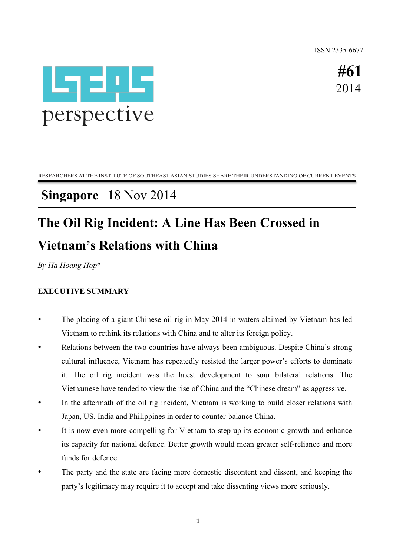ISSN 2335-6677



**#61** 2014

RESEARCHERS AT THE INSTITUTE OF SOUTHEAST ASIAN STUDIES SHARE THEIR UNDERSTANDING OF CURRENT EVENTS

## **Singapore** | 18 Nov 2014

# **The Oil Rig Incident: A Line Has Been Crossed in Vietnam's Relations with China**

*By Ha Hoang Hop*\*

### **EXECUTIVE SUMMARY**

- The placing of a giant Chinese oil rig in May 2014 in waters claimed by Vietnam has led Vietnam to rethink its relations with China and to alter its foreign policy.
- Relations between the two countries have always been ambiguous. Despite China's strong cultural influence, Vietnam has repeatedly resisted the larger power's efforts to dominate it. The oil rig incident was the latest development to sour bilateral relations. The Vietnamese have tended to view the rise of China and the "Chinese dream" as aggressive.
- In the aftermath of the oil rig incident, Vietnam is working to build closer relations with Japan, US, India and Philippines in order to counter-balance China.
- It is now even more compelling for Vietnam to step up its economic growth and enhance its capacity for national defence. Better growth would mean greater self-reliance and more funds for defence.
- The party and the state are facing more domestic discontent and dissent, and keeping the party's legitimacy may require it to accept and take dissenting views more seriously.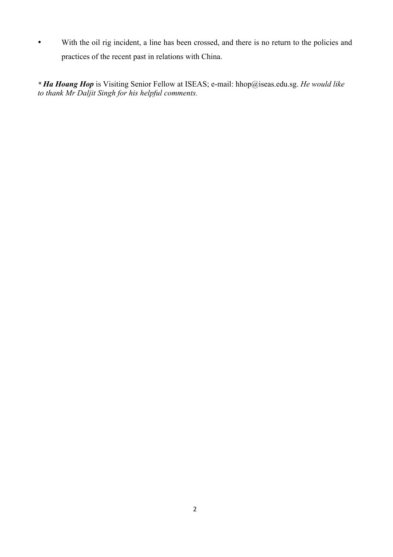• With the oil rig incident, a line has been crossed, and there is no return to the policies and practices of the recent past in relations with China.

*\* Ha Hoang Hop* is Visiting Senior Fellow at ISEAS; e-mail: hhop@iseas.edu.sg. *He would like to thank Mr Daljit Singh for his helpful comments.*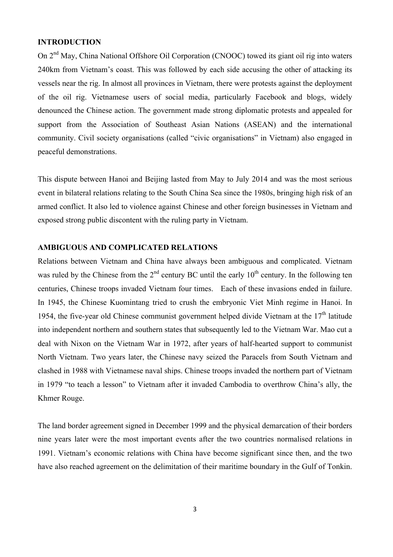#### **INTRODUCTION**

On 2<sup>nd</sup> May, China National Offshore Oil Corporation (CNOOC) towed its giant oil rig into waters 240km from Vietnam's coast. This was followed by each side accusing the other of attacking its vessels near the rig. In almost all provinces in Vietnam, there were protests against the deployment of the oil rig. Vietnamese users of social media, particularly Facebook and blogs, widely denounced the Chinese action. The government made strong diplomatic protests and appealed for support from the Association of Southeast Asian Nations (ASEAN) and the international community. Civil society organisations (called "civic organisations" in Vietnam) also engaged in peaceful demonstrations.

This dispute between Hanoi and Beijing lasted from May to July 2014 and was the most serious event in bilateral relations relating to the South China Sea since the 1980s, bringing high risk of an armed conflict. It also led to violence against Chinese and other foreign businesses in Vietnam and exposed strong public discontent with the ruling party in Vietnam.

#### **AMBIGUOUS AND COMPLICATED RELATIONS**

Relations between Vietnam and China have always been ambiguous and complicated. Vietnam was ruled by the Chinese from the  $2<sup>nd</sup>$  century BC until the early  $10<sup>th</sup>$  century. In the following ten centuries, Chinese troops invaded Vietnam four times. Each of these invasions ended in failure. In 1945, the Chinese Kuomintang tried to crush the embryonic Viet Minh regime in Hanoi. In 1954, the five-year old Chinese communist government helped divide Vietnam at the  $17<sup>th</sup>$  latitude into independent northern and southern states that subsequently led to the Vietnam War. Mao cut a deal with Nixon on the Vietnam War in 1972, after years of half-hearted support to communist North Vietnam. Two years later, the Chinese navy seized the Paracels from South Vietnam and clashed in 1988 with Vietnamese naval ships. Chinese troops invaded the northern part of Vietnam in 1979 "to teach a lesson" to Vietnam after it invaded Cambodia to overthrow China's ally, the Khmer Rouge.

The land border agreement signed in December 1999 and the physical demarcation of their borders nine years later were the most important events after the two countries normalised relations in 1991. Vietnam's economic relations with China have become significant since then, and the two have also reached agreement on the delimitation of their maritime boundary in the Gulf of Tonkin.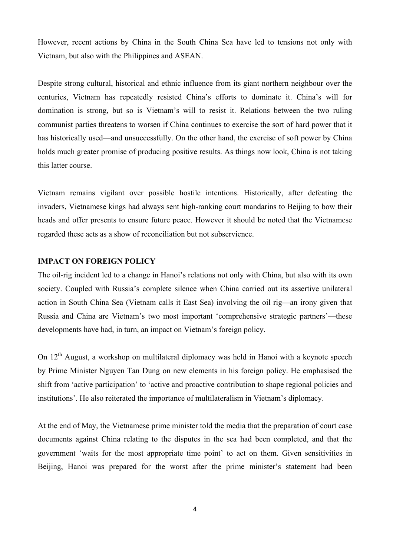However, recent actions by China in the South China Sea have led to tensions not only with Vietnam, but also with the Philippines and ASEAN.

Despite strong cultural, historical and ethnic influence from its giant northern neighbour over the centuries, Vietnam has repeatedly resisted China's efforts to dominate it. China's will for domination is strong, but so is Vietnam's will to resist it. Relations between the two ruling communist parties threatens to worsen if China continues to exercise the sort of hard power that it has historically used—and unsuccessfully. On the other hand, the exercise of soft power by China holds much greater promise of producing positive results. As things now look, China is not taking this latter course.

Vietnam remains vigilant over possible hostile intentions. Historically, after defeating the invaders, Vietnamese kings had always sent high-ranking court mandarins to Beijing to bow their heads and offer presents to ensure future peace. However it should be noted that the Vietnamese regarded these acts as a show of reconciliation but not subservience.

#### **IMPACT ON FOREIGN POLICY**

The oil-rig incident led to a change in Hanoi's relations not only with China, but also with its own society. Coupled with Russia's complete silence when China carried out its assertive unilateral action in South China Sea (Vietnam calls it East Sea) involving the oil rig—an irony given that Russia and China are Vietnam's two most important 'comprehensive strategic partners'—these developments have had, in turn, an impact on Vietnam's foreign policy.

On  $12<sup>th</sup>$  August, a workshop on multilateral diplomacy was held in Hanoi with a keynote speech by Prime Minister Nguyen Tan Dung on new elements in his foreign policy. He emphasised the shift from 'active participation' to 'active and proactive contribution to shape regional policies and institutions'. He also reiterated the importance of multilateralism in Vietnam's diplomacy.

At the end of May, the Vietnamese prime minister told the media that the preparation of court case documents against China relating to the disputes in the sea had been completed, and that the government 'waits for the most appropriate time point' to act on them. Given sensitivities in Beijing, Hanoi was prepared for the worst after the prime minister's statement had been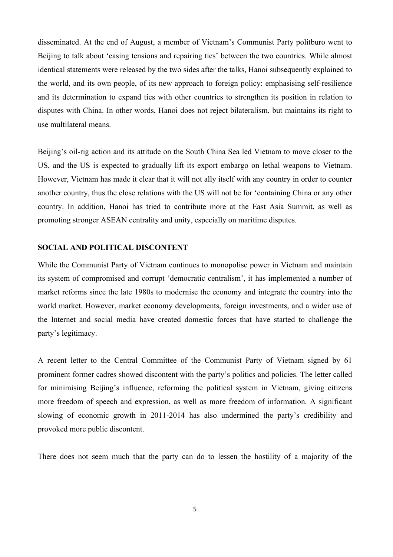disseminated. At the end of August, a member of Vietnam's Communist Party politburo went to Beijing to talk about 'easing tensions and repairing ties' between the two countries. While almost identical statements were released by the two sides after the talks, Hanoi subsequently explained to the world, and its own people, of its new approach to foreign policy: emphasising self-resilience and its determination to expand ties with other countries to strengthen its position in relation to disputes with China. In other words, Hanoi does not reject bilateralism, but maintains its right to use multilateral means.

Beijing's oil-rig action and its attitude on the South China Sea led Vietnam to move closer to the US, and the US is expected to gradually lift its export embargo on lethal weapons to Vietnam. However, Vietnam has made it clear that it will not ally itself with any country in order to counter another country, thus the close relations with the US will not be for 'containing China or any other country. In addition, Hanoi has tried to contribute more at the East Asia Summit, as well as promoting stronger ASEAN centrality and unity, especially on maritime disputes.

#### **SOCIAL AND POLITICAL DISCONTENT**

While the Communist Party of Vietnam continues to monopolise power in Vietnam and maintain its system of compromised and corrupt 'democratic centralism', it has implemented a number of market reforms since the late 1980s to modernise the economy and integrate the country into the world market. However, market economy developments, foreign investments, and a wider use of the Internet and social media have created domestic forces that have started to challenge the party's legitimacy.

A recent letter to the Central Committee of the Communist Party of Vietnam signed by 61 prominent former cadres showed discontent with the party's politics and policies. The letter called for minimising Beijing's influence, reforming the political system in Vietnam, giving citizens more freedom of speech and expression, as well as more freedom of information. A significant slowing of economic growth in 2011-2014 has also undermined the party's credibility and provoked more public discontent.

There does not seem much that the party can do to lessen the hostility of a majority of the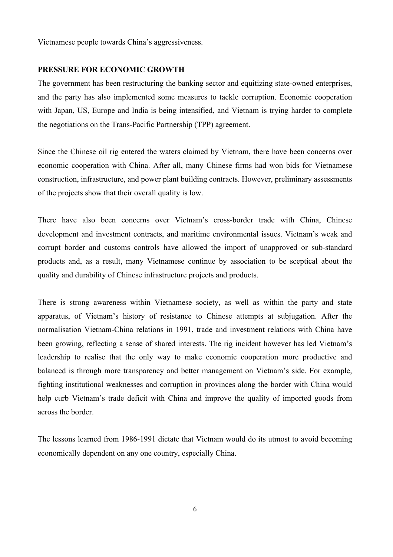Vietnamese people towards China's aggressiveness.

#### **PRESSURE FOR ECONOMIC GROWTH**

The government has been restructuring the banking sector and equitizing state-owned enterprises, and the party has also implemented some measures to tackle corruption. Economic cooperation with Japan, US, Europe and India is being intensified, and Vietnam is trying harder to complete the negotiations on the Trans-Pacific Partnership (TPP) agreement.

Since the Chinese oil rig entered the waters claimed by Vietnam, there have been concerns over economic cooperation with China. After all, many Chinese firms had won bids for Vietnamese construction, infrastructure, and power plant building contracts. However, preliminary assessments of the projects show that their overall quality is low.

There have also been concerns over Vietnam's cross-border trade with China, Chinese development and investment contracts, and maritime environmental issues. Vietnam's weak and corrupt border and customs controls have allowed the import of unapproved or sub-standard products and, as a result, many Vietnamese continue by association to be sceptical about the quality and durability of Chinese infrastructure projects and products.

There is strong awareness within Vietnamese society, as well as within the party and state apparatus, of Vietnam's history of resistance to Chinese attempts at subjugation. After the normalisation Vietnam-China relations in 1991, trade and investment relations with China have been growing, reflecting a sense of shared interests. The rig incident however has led Vietnam's leadership to realise that the only way to make economic cooperation more productive and balanced is through more transparency and better management on Vietnam's side. For example, fighting institutional weaknesses and corruption in provinces along the border with China would help curb Vietnam's trade deficit with China and improve the quality of imported goods from across the border.

The lessons learned from 1986-1991 dictate that Vietnam would do its utmost to avoid becoming economically dependent on any one country, especially China.